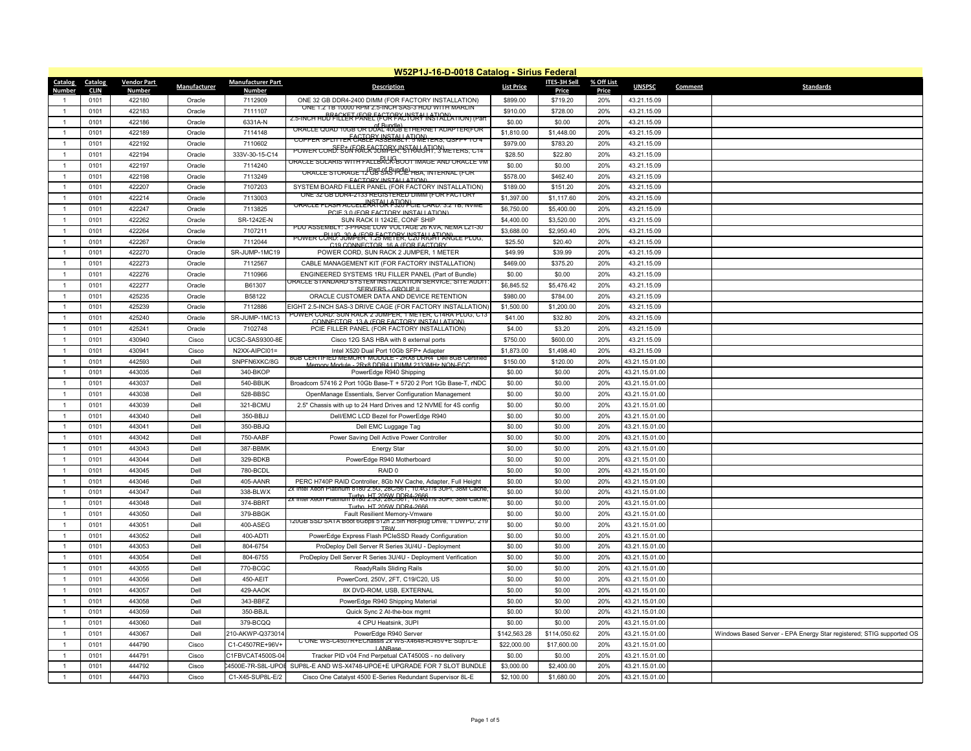|                |                     |                         |                     |                                        | W52P1J-16-D-0018 Catalog - Sirius Federal                                                                                              |                   |                          |                     |                                  |                |                                                                      |
|----------------|---------------------|-------------------------|---------------------|----------------------------------------|----------------------------------------------------------------------------------------------------------------------------------------|-------------------|--------------------------|---------------------|----------------------------------|----------------|----------------------------------------------------------------------|
| <b>Catalog</b> | <b>Catalog</b>      | <b>Vendor Part</b>      | <b>Manufacturer</b> | <b>Manufacturer Part</b>               | <b>Description</b>                                                                                                                     | <b>List Price</b> | <b>ITES-3H Sell</b>      | % Off List          | <b>UNSPSC</b>                    | <b>Comment</b> | <b>Standards</b>                                                     |
| <b>Number</b>  | <b>CLIN</b><br>0101 | <b>Number</b><br>422180 | Oracle              | <b>Number</b><br>7112909               | ONE 32 GB DDR4-2400 DIMM (FOR FACTORY INSTALLATION)                                                                                    | \$899.00          | <b>Price</b><br>\$719.20 | <b>Price</b><br>20% | 43.21.15.09                      |                |                                                                      |
|                | 0101                | 422183                  | Oracle              | 7111107                                | ONE 1.2 TB 10000 RPM 2.5-INCH SAS-3 HDD WITH MARLIN                                                                                    | \$910.00          | \$728.00                 | 20%                 | 43.21.15.09                      |                |                                                                      |
|                | 0101                | 422186                  | Oracle              | 6331A-N                                | <b>BRACKET (FOR FACTORY INSTALLATION)</b><br><u>2.5-INCH HDD FILLER PANEL (FOR FACTORY INSTALLATION) (Part</u>                         | \$0.00            | \$0.00                   | 20%                 | 43.21.15.09                      |                |                                                                      |
|                | 0101                | 422189                  | Oracle              | 7114148                                | ORACLE QUAD 10GB OR DUAL 40GB ETHERNET ADAPTER(FOR                                                                                     | \$1,810.00        | \$1,448.00               | 20%                 | 43.21.15.09                      |                |                                                                      |
|                | 0101                | 422192                  | Oracle              | 7110602                                | COPPER SPLITTER CABLE ASSEMBLY: 5 METERS, QSFP+ TO 4                                                                                   | \$979.00          | \$783.20                 | 20%                 | 43.21.15.09                      |                |                                                                      |
|                | 0101                | 422194                  | Oracle              | 333V-30-15-C14                         | POWER CORD: SUN RACK JUMPER, STRAIGHT, 3 METERS, C14                                                                                   | \$28.50           | \$22.80                  | 20%                 | 43.21.15.09                      |                |                                                                      |
|                | 0101                | 422197                  | Oracle              | 7114240                                | DILIG<br>ORACLE SOLARIS WITH FALLBACK-BOOT IMAGE AND ORACLE VM                                                                         | \$0.00            | \$0.00                   | 20%                 | 43.21.15.09                      |                |                                                                      |
|                | 0101                | 422198                  | Oracle              | 7113249                                | (Part of Bundle)<br><u>ORACLE STORAGE 12 GB SAS PCIE HBA, INTERNAL (FOR</u>                                                            | \$578.00          | \$462.40                 | 20%                 | 43.21.15.09                      |                |                                                                      |
|                | 0101                | 422207                  | Oracle              | 7107203                                | <b>FACTORY INSTALLATION)</b><br>SYSTEM BOARD FILLER PANEL (FOR FACTORY INSTALLATION)                                                   | \$189.00          | \$151.20                 | 20%                 | 43.21.15.09                      |                |                                                                      |
|                | 0101                | 422214                  | Oracle              | 7113003                                | ONE 32 GB DDR4-2133 REGISTERED DIMM (FOR FACTORY                                                                                       | \$1,397.00        | \$1,117.60               | 20%                 | 43.21.15.09                      |                |                                                                      |
|                | 0101                | 422247                  | Oracle              | 7113825                                | ORACLE FLASH ACCELERATOR F320 PCIE CARD: 3.2 TB, NVME                                                                                  | \$6,750.00        | \$5,400.00               | 20%                 | 43.21.15.09                      |                |                                                                      |
|                | 0101                | 422262                  | Oracle              | SR-1242E-N                             | PCIF 3.0 (FOR FACTORY INSTALLATION)<br>SUN RACK II 1242E, CONF SHIP                                                                    | \$4,400.00        | \$3,520.00               | 20%                 | 43.21.15.09                      |                |                                                                      |
|                | 0101                | 422264                  | Oracle              | 7107211                                | PDU ASSEMBLY: 3-PHASE LOW VOLTAGE 26 KVA, NEMA L21-30                                                                                  | \$3,688.00        | \$2,950.40               | 20%                 | 43.21.15.09                      |                |                                                                      |
|                | 0101                | 422267                  | Oracle              | 7112044                                | POWER CORD: JUMPER, T.25 METER, L'20 RIGATIANGLE PLUG,                                                                                 | \$25.50           | \$20.40                  | 20%                 | 43.21.15.09                      |                |                                                                      |
|                | 0101                | 422270                  | Oracle              | SR-JUMP-1MC19                          | C19 CONNECTOR 16 A (FOR FACTORY<br>POWER CORD, SUN RACK 2 JUMPER, 1 METER                                                              | \$49.99           | \$39.99                  | 20%                 | 43.21.15.09                      |                |                                                                      |
|                | 0101                | 422273                  | Oracle              | 7112567                                | CABLE MANAGEMENT KIT (FOR FACTORY INSTALLATION)                                                                                        | \$469.00          | \$375.20                 | 20%                 | 43.21.15.09                      |                |                                                                      |
|                | 0101                | 422276                  | Oracle              | 7110966                                | ENGINEERED SYSTEMS 1RU FILLER PANEL (Part of Bundle)                                                                                   | \$0.00            | \$0.00                   | 20%                 | 43.21.15.09                      |                |                                                                      |
|                | 0101                | 422277                  | Oracle              | B61307                                 | <u> ORACLE STANDARD SYSTEM INSTALLATION SERVICE, SITE AUDIT</u>                                                                        | \$6,845.52        | \$5,476.42               | 20%                 | 43.21.15.09                      |                |                                                                      |
|                | 0101                | 425235                  | Oracle              | B58122                                 | SERVERS - GROUP IL<br>ORACLE CUSTOMER DATA AND DEVICE RETENTION                                                                        | \$980.00          | \$784.00                 | 20%                 | 43.21.15.09                      |                |                                                                      |
|                | 0101                | 425239                  | Oracle              | 7112886                                | EIGHT 2.5-INCH SAS-3 DRIVE CAGE (FOR FACTORY INSTALLATION)                                                                             | \$1,500.00        | \$1,200.00               | 20%                 | 43.21.15.09                      |                |                                                                      |
|                | 0101                | 425240                  | Oracle              | SR-JUMP-1MC13                          | POWER CORD: SUN RACK 2 JUMPER, 1 METER, C14RA PLUG, C13                                                                                | \$41.00           | \$32.80                  | 20%                 | 43.21.15.09                      |                |                                                                      |
|                | 0101                | 425241                  | Oracle              | 7102748                                | CONNECTOR 13 A (FOR FACTORY INSTALLATION)<br>PCIE FILLER PANEL (FOR FACTORY INSTALLATION)                                              | \$4.00            | \$3.20                   | 20%                 | 43.21.15.09                      |                |                                                                      |
|                | 0101                | 430940                  | Cisco               | UCSC-SAS9300-8E                        | Cisco 12G SAS HBA with 8 external ports                                                                                                | \$750.00          | \$600.00                 | 20%                 | 43.21.15.09                      |                |                                                                      |
|                | 0101                | 430941                  | Cisco               | N2XX-AIPCI01=                          | Intel X520 Dual Port 10Gb SFP+ Adapter                                                                                                 | \$1,873.00        | \$1,498.40               | 20%                 | 43.21.15.09                      |                |                                                                      |
|                | 0101                | 442593                  | Dell                | SNPFN6XKC/8G                           | 8GB CERTIFIED MEMORY MODULE - 2RX8 DDR4_Dell 8GB Certified                                                                             | \$150.00          | \$120.00                 | 20%                 | 43.21.15.01.00                   |                |                                                                      |
|                | 0101                | 443035                  | Dell                | 340-BKOP                               | Memory Module - 2Rx8 DDR4 UDIMM 2133MHz NON-FCC<br>PowerEdge R940 Shipping                                                             | \$0.00            | \$0.00                   | 20%                 | 43.21.15.01.00                   |                |                                                                      |
|                | 0101                | 443037                  | Dell                | 540-BBUK                               | Broadcom 57416 2 Port 10Gb Base-T + 5720 2 Port 1Gb Base-T, rNDC                                                                       | \$0.00            | \$0.00                   | 20%                 | 43.21.15.01.00                   |                |                                                                      |
|                | 0101                | 443038                  | Dell                | 528-BBSC                               | OpenManage Essentials, Server Configuration Management                                                                                 | \$0.00            | \$0.00                   | 20%                 | 43.21.15.01.00                   |                |                                                                      |
|                | 0101                | 443039                  | Dell                | 321-BCMU                               | 2.5" Chassis with up to 24 Hard Drives and 12 NVME for 4S config                                                                       | \$0.00            | \$0.00                   | 20%                 | 43.21.15.01.00                   |                |                                                                      |
|                | 0101                | 443040                  |                     | 350-BBJJ                               |                                                                                                                                        |                   |                          | 20%                 | 43.21.15.01.00                   |                |                                                                      |
|                |                     | 443041                  | Dell                | 350-BBJQ                               | Dell/EMC LCD Bezel for PowerEdge R940                                                                                                  | \$0.00            | \$0.00                   | 20%                 |                                  |                |                                                                      |
|                | 0101                |                         | Dell                |                                        | Dell EMC Luggage Tag                                                                                                                   | \$0.00            | \$0.00                   |                     | 43.21.15.01.00                   |                |                                                                      |
|                | 0101<br>0101        | 443042<br>443043        | Dell<br>Dell        | 750-AABF<br>387-BBMK                   | Power Saving Dell Active Power Controller                                                                                              | \$0.00            | \$0.00                   | 20%<br>20%          | 43.21.15.01.00<br>43.21.15.01.00 |                |                                                                      |
|                |                     | 443044                  | Dell                | 329-BDKB                               | <b>Energy Star</b>                                                                                                                     | \$0.00            | \$0.00                   | 20%                 |                                  |                |                                                                      |
|                | 0101<br>0101        | 443045                  | Dell                | 780-BCDL                               | PowerEdge R940 Motherboard<br>RAID 0                                                                                                   | \$0.00<br>\$0.00  | \$0.00<br>\$0.00         | 20%                 | 43.21.15.01.00<br>43.21.15.01.00 |                |                                                                      |
|                | 0101                | 443046                  | Dell                | 405-AANR                               |                                                                                                                                        |                   |                          | 20%                 |                                  |                |                                                                      |
|                | 0101                | 443047                  | Dell                | 338-BLWX                               | PERC H740P RAID Controller, 8Gb NV Cache, Adapter, Full Height<br>2x Intel Xeon Platinum 8180 2.5G, 28C/561, 10.4G1/s 3UPI, 38M Cache, | \$0.00<br>\$0.00  | \$0.00<br>\$0.00         | 20%                 | 43.21.15.01.00<br>43.21.15.01.00 |                |                                                                      |
|                | 0101                | 443048                  | Dell                | 374-BBRT                               | Turbo, HT 205W DDR4-2666<br>2x Intel Xeon Platinum 8180 2.5G, 28C/561, 10.4G1/s 3UPI, 38M Cache,                                       | \$0.00            | \$0.00                   | 20%                 | 43.21.15.01.00                   |                |                                                                      |
|                | 0101                | 443050                  | Dell                | 379-BBGK                               | Turbo HT 205W DDR4-2666<br><b>Fault Resilient Memory-Vmware</b>                                                                        | \$0.00            | \$0.00                   | 20%                 | 43.21.15.01.00                   |                |                                                                      |
|                | 0101                | 443051                  | Dell                | 400-ASEG                               | 120GB SSD SATA Boot 6Gbps 512n 2.5in Hot-plug Drive, 1 DWPD, 219                                                                       | \$0.00            | \$0.00                   | 20%                 | 43.21.15.01.00                   |                |                                                                      |
|                | 0101                | 443052                  | Dell                | 400-ADTI                               | <b>TRW</b><br>PowerEdge Express Flash PCIeSSD Ready Configuration                                                                      |                   | \$0.00                   | 20%                 | 43.21.15.01.00                   |                |                                                                      |
|                | 0101                | 443053                  | Dell                | 804-6754                               | ProDeploy Dell Server R Series 3U/4U - Deployment                                                                                      | \$0.00<br>\$0.00  | \$0.00                   | 20%                 | 43.21.15.01.00                   |                |                                                                      |
|                | 0101                | 443054                  | Dell                | 804-6755                               | ProDeploy Dell Server R Series 3U/4U - Deployment Verification                                                                         | \$0.00            | \$0.00                   | 20%                 | 43.21.15.01.00                   |                |                                                                      |
|                | 0101                | 443055                  | Dell                | 770-BCGC                               | ReadyRails Sliding Rails                                                                                                               | \$0.00            | \$0.00                   | 20%                 | 43.21.15.01.00                   |                |                                                                      |
|                | 0101                | 443056                  | Dell                | 450-AEIT                               | PowerCord, 250V, 2FT, C19/C20, US                                                                                                      | \$0.00            | \$0.00                   | 20%                 | 43.21.15.01.00                   |                |                                                                      |
|                |                     |                         |                     |                                        |                                                                                                                                        |                   |                          |                     |                                  |                |                                                                      |
|                | 0101                | 443057                  | Dell                | 429-AAOK<br>343-BBFZ                   | 8X DVD-ROM, USB, EXTERNAL                                                                                                              | \$0.00            | \$0.00                   | 20%                 | 43.21.15.01.00                   |                |                                                                      |
|                | 0101                | 443058                  | Dell                |                                        | PowerEdge R940 Shipping Material                                                                                                       | \$0.00            | \$0.00                   | 20%                 | 43.21.15.01.00                   |                |                                                                      |
|                | 0101                | 443059                  | Dell                | 350-BBJL                               | Quick Sync 2 At-the-box mgmt                                                                                                           | \$0.00            | \$0.00                   | 20%                 | 43.21.15.01.00                   |                |                                                                      |
|                | 0101                | 443060                  | Dell                | 379-BCQQ                               | 4 CPU Heatsink, 3UPI<br>PowerEdge R940 Server                                                                                          | \$0.00            | \$0.00                   | 20%                 | 43.21.15.01.00                   |                |                                                                      |
|                | 0101                | 443067                  | Dell                | 210-AKWP-Q373014<br>C1-C4507RE+96V+    | C ONE WS-C4507R+EChassis 2x WS-X4648-RJ45V+E Sup7L-E                                                                                   | \$142,563.28      | \$114,050.62             | 20%                 | 43.21.15.01.00                   |                | Windows Based Server - EPA Energy Star registered; STIG supported OS |
|                | 0101                | 444790<br>444791        | Cisco               |                                        | LANBase<br>Tracker PID v04 Fnd Perpetual CAT4500S - no delivery                                                                        | \$22,000.00       | \$17,600.00              | 20%                 | 43.21.15.01.00                   |                |                                                                      |
|                | 0101                | 444792                  | Cisco               | C1FBVCAT4500S-04<br>24500E-7R-S8L-UPOE | SUP8L-E AND WS-X4748-UPOE+E UPGRADE FOR 7 SLOT BUNDLE                                                                                  | \$0.00            | \$0.00                   | 20%                 | 43.21.15.01.00                   |                |                                                                      |
|                | 0101                |                         | Cisco               |                                        |                                                                                                                                        | \$3,000.00        | \$2,400.00               | 20%                 | 43.21.15.01.00                   |                |                                                                      |
|                | 0101                | 444793                  | Cisco               | C1-X45-SUP8L-E/2                       | Cisco One Catalyst 4500 E-Series Redundant Supervisor 8L-E                                                                             | \$2,100.00        | \$1,680.00               | 20%                 | 43.21.15.01.00                   |                |                                                                      |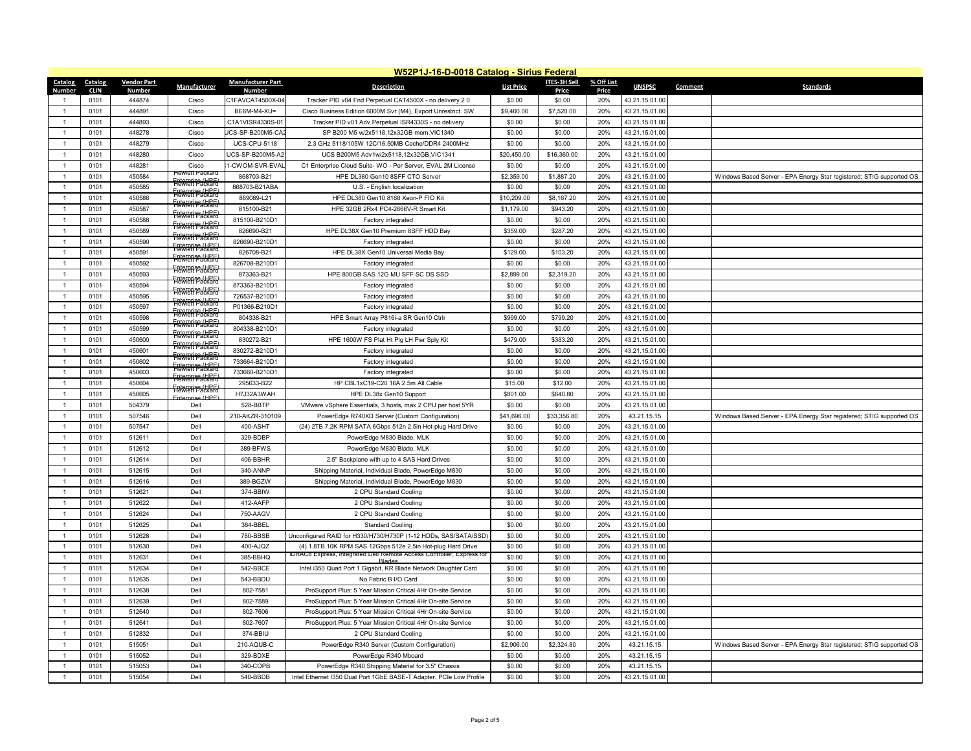|                | W52P1J-16-D-0018 Catalog - Sirius Federal |                         |                                                  |                                   |                                                                                                                         |                      |                        |                     |                |                |                                                                      |  |
|----------------|-------------------------------------------|-------------------------|--------------------------------------------------|-----------------------------------|-------------------------------------------------------------------------------------------------------------------------|----------------------|------------------------|---------------------|----------------|----------------|----------------------------------------------------------------------|--|
| <b>Catalog</b> | <b>Catalog</b>                            | <b>Vendor Part</b>      | <b>Manufacturer</b>                              | <b>Manufacturer Part</b>          | <b>Description</b>                                                                                                      | <b>List Price</b>    | <b>ITES-3H Sell</b>    | % Off List          | <b>UNSPSC</b>  | <b>Comment</b> | <b>Standards</b>                                                     |  |
| Number         | <b>CLIN</b><br>0101                       | <b>Number</b><br>444874 |                                                  | <b>Number</b><br>C1FAVCAT4500X-04 |                                                                                                                         |                      | <b>Price</b><br>\$0.00 | <b>Price</b><br>20% | 43.21.15.01.00 |                |                                                                      |  |
|                | 0101                                      | 444891                  | Cisco<br>Cisco                                   | BE6M-M4-XU=                       | Tracker PID v04 Fnd Perpetual CAT4500X - no delivery 20<br>Cisco Business Edition 6000M Svr (M4), Export Unrestrict. SW | \$0.00<br>\$9,400.00 | \$7,520.00             | 20%                 | 43.21.15.01.00 |                |                                                                      |  |
|                | 0101                                      | 444893                  | Cisco                                            | C1A1VISR4330S-01                  | Tracker PID v01 Adv Perpetual ISR4330S - no delivery                                                                    | \$0.00               | \$0.00                 | 20%                 | 43.21.15.01.00 |                |                                                                      |  |
|                | 0101                                      | 448278                  | Cisco                                            | JCS-SP-B200M5-CA2                 | SP B200 M5 w/2x5118,12x32GB mem, VIC1340                                                                                | \$0.00               | \$0.00                 | 20%                 | 43.21.15.01.00 |                |                                                                      |  |
|                | 0101                                      | 448279                  | Cisco                                            | <b>UCS-CPU-5118</b>               | 2.3 GHz 5118/105W 12C/16.50MB Cache/DDR4 2400MHz                                                                        | \$0.00               | \$0.00                 | 20%                 | 43.21.15.01.00 |                |                                                                      |  |
|                | 0101                                      | 448280                  | Cisco                                            | UCS-SP-B200M5-A2                  | UCS B200M5 Adv1w/2x5118,12x32GB,VIC1341                                                                                 | \$20,450.00          | \$16,360.00            | 20%                 | 43.21.15.01.00 |                |                                                                      |  |
|                | 0101                                      | 448281                  | Cisco                                            | 1-CWOM-SVR-EVAI                   | C1 Enterprise Cloud Suite-WO - Per Server, EVAL 2M License                                                              | \$0.00               | \$0.00                 | 20%                 | 43.21.15.01.00 |                |                                                                      |  |
|                | 0101                                      | 450584                  | <b>Hewlett Packard</b>                           | 868703-B21                        | HPE DL380 Gen10 8SFF CTO Server                                                                                         | \$2,359.00           | \$1,887.20             | 20%                 | 43.21.15.01.00 |                | Windows Based Server - EPA Energy Star registered; STIG supported OS |  |
|                | 0101                                      | 450585                  | <b>Enterprise (HPF)</b><br>Flewlett Packard      | 868703-B21ABA                     | U.S. - English localization                                                                                             | \$0.00               | \$0.00                 | 20%                 | 43.21.15.01.00 |                |                                                                      |  |
|                | 0101                                      | 450586                  | <b>Enterprise (HPF)</b><br>Hewlett Packard       | 869089-L21                        | HPE DL380 Gen10 8168 Xeon-P FIO Kit                                                                                     | \$10,209.00          | \$8,167.20             | 20%                 | 43.21.15.01.00 |                |                                                                      |  |
|                | 0101                                      | 450587                  | Fnternrise (HPF)<br><b>Hewlett Packard</b>       | 815100-B21                        | HPE 32GB 2Rx4 PC4-2666V-R Smart Kit                                                                                     | \$1,179.00           | \$943.20               | 20%                 | 43.21.15.01.00 |                |                                                                      |  |
|                | 0101                                      | 450588                  | Fnternrise (HPF)<br><b>Hewlett Packard</b>       | 815100-B210D1                     | <b>Factory integrated</b>                                                                                               | \$0.00               | \$0.00                 | 20%                 | 43.21.15.01.00 |                |                                                                      |  |
|                | 0101                                      | 450589                  | <b>Enterprise (HPF)</b><br>Hewlett Packard       | 826690-B21                        | HPE DL38X Gen10 Premium 8SFF HDD Bay                                                                                    | \$359.00             | \$287.20               | 20%                 | 43.21.15.01.00 |                |                                                                      |  |
|                | 0101                                      | 450590                  | Fnternrise (HPF)<br><b>Hewlett Packard</b>       | 826690-B210D1                     | <b>Factory integrated</b>                                                                                               | \$0.00               | \$0.00                 | 20%                 | 43.21.15.01.00 |                |                                                                      |  |
|                | 0101                                      | 450591                  | <b>F</b> nterprise (HPF)<br>Hewlett Packard      | 826708-B21                        | HPE DL38X Gen10 Universal Media Bay                                                                                     | \$129.00             | \$103.20               | 20%                 | 43.21.15.01.00 |                |                                                                      |  |
|                |                                           | 450592                  | <b>Enterprise (HPF)</b><br>Hewlett Packard       |                                   |                                                                                                                         |                      | \$0.00                 | 20%                 |                |                |                                                                      |  |
|                | 0101                                      |                         | <b>Enterprise (HPF)</b><br>Hewlett Packard       | 826708-B210D1                     | <b>Factory integrated</b>                                                                                               | \$0.00               |                        |                     | 43.21.15.01.00 |                |                                                                      |  |
|                | 0101                                      | 450593                  | <b>Enterprise (HPF)</b><br>Hewlett Packard       | 873363-B21                        | HPE 800GB SAS 12G MU SFF SC DS SSD                                                                                      | \$2,899.00           | \$2,319.20             | 20%                 | 43.21.15.01.00 |                |                                                                      |  |
|                | 0101                                      | 450594                  | Fnternrise (HPF)<br><del>'Hëwlett Packard'</del> | 873363-B210D1                     | Factory integrated                                                                                                      | \$0.00               | \$0.00                 | 20%                 | 43.21.15.01.00 |                |                                                                      |  |
|                | 0101                                      | 450595                  | Fnternrise (HPF)<br><b>Hewlett Packard</b>       | 726537-B210D1                     | <b>Factory integrated</b>                                                                                               | \$0.00               | \$0.00                 | 20%                 | 43.21.15.01.00 |                |                                                                      |  |
|                | 0101                                      | 450597                  | <b>Enternrise (HPF)</b><br>Hewlett Packard       | P01366-B210D1                     | <b>Factory integrated</b>                                                                                               | \$0.00               | \$0.00                 | 20%                 | 43.21.15.01.00 |                |                                                                      |  |
|                | 0101                                      | 450598                  | Fnternrise (HPF)<br><b>Hewlett Packard</b>       | 804338-B21                        | HPE Smart Array P816i-a SR Gen10 Ctrlr                                                                                  | \$999.00             | \$799.20               | 20%                 | 43.21.15.01.00 |                |                                                                      |  |
|                | 0101                                      | 450599                  | <b>Enterprise (HPF)</b><br>Hewlett Packard       | 804338-B210D1                     | Factory integrated                                                                                                      | \$0.00               | \$0.00                 | 20%                 | 43.21.15.01.00 |                |                                                                      |  |
|                | 0101                                      | 450600                  | <b>Foterorise (HPF)</b><br>Hewlett Packard       | 830272-B21                        | HPE 1600W FS Plat Ht Plg LH Pwr Sply Kit                                                                                | \$479.00             | \$383.20               | 20%                 | 43.21.15.01.00 |                |                                                                      |  |
|                | 0101                                      | 450601                  | <b>Enterprise (HPF)</b><br>Hewlett Packard       | 830272-B210D1                     | Factory integrated                                                                                                      | \$0.00               | \$0.00                 | 20%                 | 43.21.15.01.00 |                |                                                                      |  |
|                | 0101                                      | 450602                  | <b>Enterprise (HPF)</b><br>Hewlett Packard       | 733664-B210D1                     | Factory integrated                                                                                                      | \$0.00               | \$0.00                 | 20%                 | 43.21.15.01.00 |                |                                                                      |  |
|                | 0101                                      | 450603                  | <b>Enterprise (HPF)</b><br>Flewlett Packard      | 733660-B210D1                     | Factory integrated                                                                                                      | \$0.00               | \$0.00                 | 20%                 | 43.21.15.01.00 |                |                                                                      |  |
|                | 0101                                      | 450604                  | Fnternrise (HPF)                                 | 295633-B22                        | HP CBL1xC19-C20 16A 2.5m All Cable                                                                                      | \$15.00              | \$12.00                | 20%                 | 43.21.15.01.00 |                |                                                                      |  |
|                | 0101                                      | 450605                  | <del>. Hewlett Packard</del><br>Fnternrise (HPF) | H7J32A3WAH                        | HPE DL38x Gen10 Support                                                                                                 | \$801.00             | \$640.80               | 20%                 | 43.21.15.01.00 |                |                                                                      |  |
|                | 0101                                      | 504379                  | Dell                                             | 528-BBTP                          | VMware vSphere Essentials, 3 hosts, max 2 CPU per host 5YR                                                              | \$0.00               | \$0.00                 | 20%                 | 43.21.15.01.00 |                |                                                                      |  |
|                | 0101                                      | 507546                  | Dell                                             | 210-AKZR-310109                   | PowerEdge R740XD Server (Custom Configuration)                                                                          | \$41,696.00          | \$33,356.80            | 20%                 | 43.21.15.15    |                | Windows Based Server - EPA Energy Star registered; STIG supported OS |  |
|                | 0101                                      | 507547                  | Dell                                             | 400-ASHT                          | (24) 2TB 7.2K RPM SATA 6Gbps 512n 2.5in Hot-plug Hard Drive                                                             | \$0.00               | \$0.00                 | 20%                 | 43.21.15.01.00 |                |                                                                      |  |
|                | 0101                                      | 512611                  | Dell                                             | 329-BDBP                          | PowerEdge M830 Blade, MLK                                                                                               | \$0.00               | \$0.00                 | 20%                 | 43.21.15.01.00 |                |                                                                      |  |
|                | 0101                                      | 512612                  | Dell                                             | 389-BFWS                          | PowerEdge M830 Blade, MLK                                                                                               | \$0.00               | \$0.00                 | 20%                 | 43.21.15.01.00 |                |                                                                      |  |
|                | 0101                                      | 512614                  | Dell                                             | 406-BBHR                          | 2.5" Backplane with up to 4 SAS Hard Drives                                                                             | \$0.00               | \$0.00                 | 20%                 | 43.21.15.01.00 |                |                                                                      |  |
|                | 0101                                      | 512615                  | Dell                                             | 340-ANNP                          | Shipping Material, Individual Blade, PowerEdge M830                                                                     | \$0.00               | \$0.00                 | 20%                 | 43.21.15.01.00 |                |                                                                      |  |
|                | 0101                                      | 512616                  | Dell                                             | 389-BGZW                          | Shipping Material, Individual Blade, PowerEdge M830                                                                     | \$0.00               | \$0.00                 | 20%                 | 43.21.15.01.00 |                |                                                                      |  |
|                | 0101                                      | 512621                  | Dell                                             | 374-BBIW                          | 2 CPU Standard Cooling                                                                                                  | \$0.00               | \$0.00                 | 20%                 | 43.21.15.01.00 |                |                                                                      |  |
|                | 0101                                      | 512622                  | Dell                                             | 412-AAFP                          | 2 CPU Standard Cooling                                                                                                  | \$0.00               | \$0.00                 | 20%                 | 43.21.15.01.00 |                |                                                                      |  |
|                | 0101                                      | 512624                  | Dell                                             | 750-AAGV                          | 2 CPU Standard Cooling                                                                                                  | \$0.00               | \$0.00                 | 20%                 | 43.21.15.01.00 |                |                                                                      |  |
|                | 0101                                      | 512625                  | Dell                                             | 384-BBEL                          | <b>Standard Cooling</b>                                                                                                 | \$0.00               | \$0.00                 | 20%                 | 43.21.15.01.00 |                |                                                                      |  |
|                | 0101                                      | 512628                  | Dell                                             | 780-BBSB                          | Unconfigured RAID for H330/H730/H730P (1-12 HDDs, SAS/SATA/SSD)                                                         | \$0.00               | \$0.00                 | 20%                 | 43.21.15.01.00 |                |                                                                      |  |
|                | 0101                                      | 512630                  | Dell                                             | 400-AJQZ                          | (4) 1.8TB 10K RPM SAS 12Gbps 512e 2.5in Hot-plug Hard Drive                                                             | \$0.00               | \$0.00                 | 20%                 | 43.21.15.01.00 |                |                                                                      |  |
|                | 0101                                      | 512631                  | Dell                                             | 385-BBHQ                          | <b>IDRAC8</b> Express, integrated Dell Remote Access Controller, Express for                                            | \$0.00               | \$0.00                 | 20%                 | 43.21.15.01.00 |                |                                                                      |  |
|                | 0101                                      | 512634                  | Dell                                             | 542-BBCE                          | <b>Blades</b><br>Intel i350 Quad Port 1 Gigabit, KR Blade Network Daughter Card                                         | \$0.00               | \$0.00                 | 20%                 | 43.21.15.01.00 |                |                                                                      |  |
|                | 0101                                      | 512635                  | Dell                                             | 543-BBDU                          | No Fabric B I/O Card                                                                                                    | \$0.00               | \$0.00                 | 20%                 | 43.21.15.01.00 |                |                                                                      |  |
|                | 0101                                      | 512638                  | Dell                                             | 802-7581                          | ProSupport Plus: 5 Year Mission Critical 4Hr On-site Service                                                            | \$0.00               | \$0.00                 | 20%                 | 43.21.15.01.00 |                |                                                                      |  |
|                | 0101                                      | 512639                  | Dell                                             | 802-7589                          | ProSupport Plus: 5 Year Mission Critical 4Hr On-site Service                                                            | \$0.00               | \$0.00                 | 20%                 | 43.21.15.01.00 |                |                                                                      |  |
|                | 0101                                      | 512640                  | Dell                                             | 802-7606                          | ProSupport Plus: 5 Year Mission Critical 4Hr On-site Service                                                            | \$0.00               | \$0.00                 | 20%                 | 43.21.15.01.00 |                |                                                                      |  |
|                | 0101                                      | 512641                  | Dell                                             | 802-7607                          | ProSupport Plus: 5 Year Mission Critical 4Hr On-site Service                                                            | \$0.00               | \$0.00                 | 20%                 | 43.21.15.01.00 |                |                                                                      |  |
|                | 0101                                      | 512832                  | Dell                                             | 374-BBIU                          | 2 CPU Standard Cooling                                                                                                  | \$0.00               | \$0.00                 | 20%                 | 43.21.15.01.00 |                |                                                                      |  |
|                |                                           |                         |                                                  |                                   |                                                                                                                         |                      |                        |                     |                |                |                                                                      |  |
|                | 0101                                      | 515051                  | Dell                                             | 210-AQUB-C                        | PowerEdge R340 Server (Custom Configuration)                                                                            | \$2,906.00           | \$2,324.80             | 20%                 | 43.21.15.15    |                | Windows Based Server - EPA Energy Star registered; STIG supported OS |  |
|                | 0101                                      | 515052                  | Dell                                             | 329-BDXE                          | PowerEdge R340 Mboard                                                                                                   | \$0.00               | \$0.00                 | 20%                 | 43.21.15.15    |                |                                                                      |  |
|                | 0101                                      | 515053                  | Dell                                             | 340-COPB                          | PowerEdge R340 Shipping Material for 3.5" Chassis                                                                       | \$0.00               | \$0.00                 | 20%                 | 43.21.15.15    |                |                                                                      |  |
|                | 0101                                      | 515054                  | Dell                                             | 540-BBDB                          | Intel Ethernet I350 Dual Port 1GbE BASE-T Adapter, PCIe Low Profile                                                     | \$0.00               | \$0.00                 | 20%                 | 43.21.15.01.00 |                |                                                                      |  |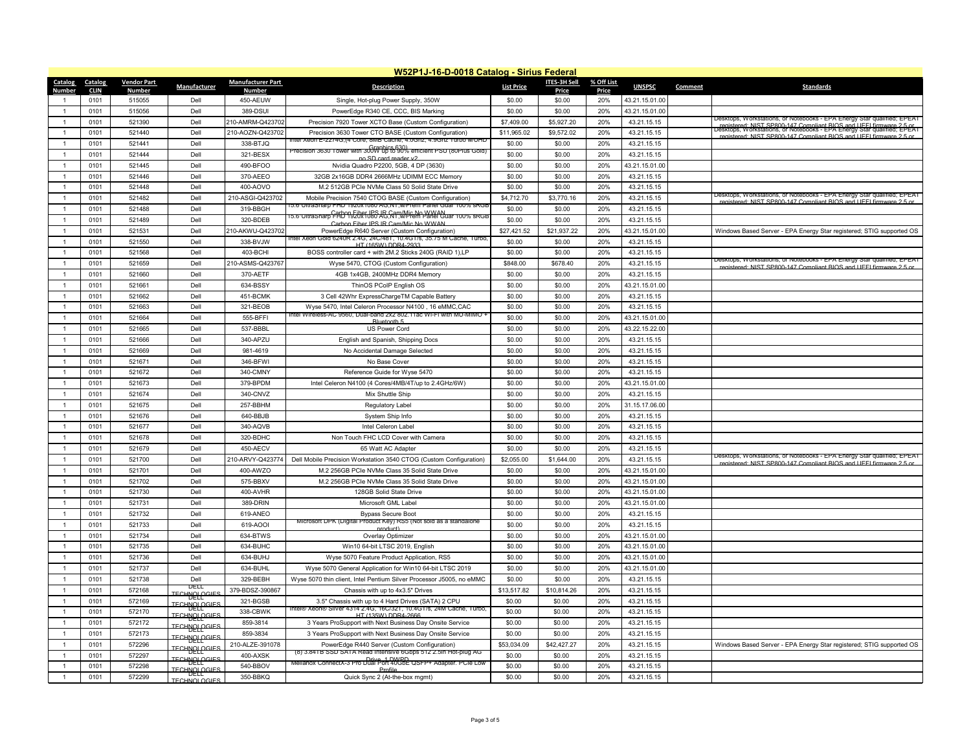|                   | W52P1J-16-D-0018 Catalog - Sirius Federal |                                     |                                   |                                           |                                                                                                                                                     |                   |                                     |                            |                |                |                                                                                                                                                                                                                                  |  |
|-------------------|-------------------------------------------|-------------------------------------|-----------------------------------|-------------------------------------------|-----------------------------------------------------------------------------------------------------------------------------------------------------|-------------------|-------------------------------------|----------------------------|----------------|----------------|----------------------------------------------------------------------------------------------------------------------------------------------------------------------------------------------------------------------------------|--|
| Catalog<br>Number | <b>Catalog</b><br><b>CLIN</b>             | <b>Vendor Part</b><br><b>Number</b> | Manufacturer                      | <b>Manufacturer Part</b><br><b>Number</b> | <b>Description</b>                                                                                                                                  | <b>List Price</b> | <b>ITES-3H Sell</b><br><b>Price</b> | % Off List<br><b>Price</b> | <b>UNSPSC</b>  | <b>Comment</b> | <b>Standards</b>                                                                                                                                                                                                                 |  |
|                   | 0101                                      | 515055                              | Dell                              | 450-AEUW                                  | Single, Hot-plug Power Supply, 350W                                                                                                                 | \$0.00            | \$0.00                              | 20%                        | 43.21.15.01.00 |                |                                                                                                                                                                                                                                  |  |
|                   | 0101                                      | 515056                              | Dell                              | 389-DSUI                                  | PowerEdge R340 CE, CCC, BIS Marking                                                                                                                 | \$0.00            | \$0.00                              | 20%                        | 43.21.15.01.00 |                |                                                                                                                                                                                                                                  |  |
|                   | 0101                                      | 521390                              | Dell                              | 210-AMRM-Q423702                          | Precision 7920 Tower XCTO Base (Custom Configuration)                                                                                               | \$7,409.00        | \$5,927.20                          | 20%                        | 43.21.15.15    |                | Desktops, Workstations, or Notebooks - EPA Energy Star qualified; EPEAT                                                                                                                                                          |  |
|                   | 0101                                      | 521440                              | Dell                              | 210-AOZN-Q423702                          | Precision 3630 Tower CTO BASE (Custom Configuration)                                                                                                | \$11,965.02       | \$9,572.02                          | 20%                        | 43.21.15.15    |                | registered: NIST SP800-147 Compliant BIOS and UEEL firmware 2-5-04.<br>Desktops, Workstations, or Notebooks - EPA Energy Star qualified; <del>EPEA</del> T<br>registered: NIST SP800-147 Compliant BIOS and UFFI firmware 2.5 or |  |
|                   | 0101                                      | 521441                              | Dell                              | 338-BTJQ                                  | Intel Xeon E-2274G.(4 Core, 8MB Cache, 4.0Ghz, 4.9Ghz Turbo W/UHD                                                                                   | \$0.00            | \$0.00                              | 20%                        | 43.21.15.15    |                |                                                                                                                                                                                                                                  |  |
|                   | 0101                                      | 521444                              | Dell                              | 321-BESX                                  | Precision 3630 Tower with 300W up to 90% efficient PSU (80Plus Gold)                                                                                | \$0.00            | \$0.00                              | 20%                        | 43.21.15.15    |                |                                                                                                                                                                                                                                  |  |
|                   | 0101                                      | 521445                              | Dell                              | 490-BFOO                                  | no SD card reader y2<br>Nvidia Quadro P2200, 5GB, 4 DP (3630)                                                                                       | \$0.00            | \$0.00                              | 20%                        | 43.21.15.01.00 |                |                                                                                                                                                                                                                                  |  |
|                   | 0101                                      | 521446                              | Dell                              | 370-AEEO                                  | 32GB 2x16GB DDR4 2666MHz UDIMM ECC Memory                                                                                                           | \$0.00            | \$0.00                              | 20%                        | 43.21.15.15    |                |                                                                                                                                                                                                                                  |  |
|                   | 0101                                      | 521448                              | Dell                              | 400-AOVO                                  | M.2 512GB PCIe NVMe Class 50 Solid State Drive                                                                                                      | \$0.00            | \$0.00                              | 20%                        | 43.21.15.15    |                |                                                                                                                                                                                                                                  |  |
|                   | 0101                                      | 521482                              | Dell                              | 210-ASGI-Q423702                          | Mobile Precision 7540 CTOG BASE (Custom Configuration)                                                                                              | \$4,712.70        | \$3,770.16                          | 20%                        | 43.21.15.15    |                | Desktops, Workstations, or Notebooks - EPA Energy Star qualified; EPEAT                                                                                                                                                          |  |
|                   | 0101                                      | 521488                              | Dell                              | 319-BBGH                                  | 15.6"UltraSharp FHD 1920x1080 AG.NT.w/Prem Panel Guar 100% sRGB                                                                                     | \$0.00            | \$0.00                              | 20%                        | 43.21.15.15    |                | registered: NIST SP800-147 Compliant BIOS and UFFI firmware 2.5 or                                                                                                                                                               |  |
|                   | 0101                                      | 521489                              | Dell                              | 320-BDEB                                  | 15.6"UltraSharp F#D 1920x1080 AG,NT,W/Prem Panel Guar 100% SRGB                                                                                     | \$0.00            | \$0.00                              | 20%                        | 43.21.15.15    |                |                                                                                                                                                                                                                                  |  |
|                   | 0101                                      | 521531                              | Dell                              | 210-AKWU-Q423702                          | Carbon Fiber IPS IR Cam/Mic No WWAN<br>PowerEdge R640 Server (Custom Configuration)                                                                 | \$27,421.52       | \$21,937.22                         | 20%                        | 43.21.15.01.00 |                | Windows Based Server - EPA Energy Star registered; STIG supported OS                                                                                                                                                             |  |
|                   | 0101                                      | 521550                              | Dell                              | 338-BVJW                                  | <u>Intel Xeon Gold 6240R 2.4G, 24C/48T, 10.4GT/s, 35.75 M Cache, Turbo, </u>                                                                        | \$0.00            | \$0.00                              | 20%                        | 43.21.15.15    |                |                                                                                                                                                                                                                                  |  |
|                   |                                           |                                     |                                   |                                           | HT (165W) DDR4-2933                                                                                                                                 |                   |                                     | 20%                        |                |                |                                                                                                                                                                                                                                  |  |
|                   | 0101                                      | 521568                              | Dell                              | 403-BCHI                                  | BOSS controller card + with 2M.2 Sticks 240G (RAID 1), LP                                                                                           | \$0.00            | \$0.00                              |                            | 43.21.15.15    |                | Desktops, Workstations, or Notebooks - EPA Energy Star qualified; EPEAT                                                                                                                                                          |  |
|                   | 0101                                      | 521659                              | Dell                              | 210-ASMS-Q423767                          | Wyse 5470, CTOG (Custom Configuration)                                                                                                              | \$848.00          | \$678.40                            | 20%                        | 43.21.15.15    |                | registered: NIST SP800-147 Compliant BIOS and UFFI firmware 2.5 or                                                                                                                                                               |  |
|                   | 0101                                      | 521660                              | Dell                              | 370-AETF                                  | 4GB 1x4GB, 2400MHz DDR4 Memory                                                                                                                      | \$0.00            | \$0.00                              | 20%                        | 43.21.15.15    |                |                                                                                                                                                                                                                                  |  |
|                   | 0101                                      | 521661                              | Dell                              | 634-BSSY                                  | ThinOS PCoIP English OS                                                                                                                             | \$0.00            | \$0.00                              | 20%                        | 43.21.15.01.00 |                |                                                                                                                                                                                                                                  |  |
|                   | 0101                                      | 521662                              | Dell                              | 451-BCMK                                  | 3 Cell 42Whr ExpressChargeTM Capable Battery                                                                                                        | \$0.00            | \$0.00                              | 20%                        | 43.21.15.15    |                |                                                                                                                                                                                                                                  |  |
|                   | 0101                                      | 521663                              | Dell                              | 321-BEOB                                  | Wyse 5470, Intel Celeron Processor N4100, 16 eMMC, CAC<br>Intel Wireless-AC 9560, Dual-band 2x2 802.11ac Wi-Fi with MU-MIMO +                       | \$0.00            | \$0.00                              | 20%                        | 43.21.15.15    |                |                                                                                                                                                                                                                                  |  |
|                   | 0101                                      | 521664                              | Dell                              | 555-BFFI                                  | Bluetooth 5                                                                                                                                         | \$0.00            | \$0.00                              | 20%                        | 43.21.15.01.00 |                |                                                                                                                                                                                                                                  |  |
|                   | 0101                                      | 521665                              | Dell                              | 537-BBBL                                  | <b>US Power Cord</b>                                                                                                                                | \$0.00            | \$0.00                              | 20%                        | 43.22.15.22.00 |                |                                                                                                                                                                                                                                  |  |
|                   | 0101                                      | 521666                              | Dell                              | 340-APZU                                  | English and Spanish, Shipping Docs                                                                                                                  | \$0.00            | \$0.00                              | 20%                        | 43.21.15.15    |                |                                                                                                                                                                                                                                  |  |
|                   | 0101                                      | 521669                              | Dell                              | 981-4619                                  | No Accidental Damage Selected                                                                                                                       | \$0.00            | \$0.00                              | 20%                        | 43.21.15.15    |                |                                                                                                                                                                                                                                  |  |
|                   | 0101                                      | 521671                              | Dell                              | 346-BFWI                                  | No Base Cover                                                                                                                                       | \$0.00            | \$0.00                              | 20%                        | 43.21.15.15    |                |                                                                                                                                                                                                                                  |  |
|                   | 0101                                      | 521672                              | Dell                              | 340-CMNY                                  | Reference Guide for Wyse 5470                                                                                                                       | \$0.00            | \$0.00                              | 20%                        | 43.21.15.15    |                |                                                                                                                                                                                                                                  |  |
|                   | 0101                                      | 521673                              | Dell                              | 379-BPDM                                  | Intel Celeron N4100 (4 Cores/4MB/4T/up to 2.4GHz/6W)                                                                                                | \$0.00            | \$0.00                              | 20%                        | 43.21.15.01.00 |                |                                                                                                                                                                                                                                  |  |
|                   | 0101                                      | 521674                              | Dell                              | 340-CNVZ                                  | Mix Shuttle Ship                                                                                                                                    | \$0.00            | \$0.00                              | 20%                        | 43.21.15.15    |                |                                                                                                                                                                                                                                  |  |
|                   | 0101                                      | 521675                              | Dell                              | 257-BBHM                                  | <b>Regulatory Label</b>                                                                                                                             | \$0.00            | \$0.00                              | 20%                        | 31.15.17.06.00 |                |                                                                                                                                                                                                                                  |  |
|                   | 0101                                      | 521676                              | Dell                              | 640-BBJB                                  | System Ship Info                                                                                                                                    | \$0.00            | \$0.00                              | 20%                        | 43.21.15.15    |                |                                                                                                                                                                                                                                  |  |
|                   | 0101                                      | 521677                              | Dell                              | 340-AQVB                                  | Intel Celeron Label                                                                                                                                 | \$0.00            | \$0.00                              | 20%                        | 43.21.15.15    |                |                                                                                                                                                                                                                                  |  |
|                   | 0101                                      | 521678                              | Dell                              | 320-BDHC                                  | Non Touch FHC LCD Cover with Camera                                                                                                                 | \$0.00            | \$0.00                              | 20%                        | 43.21.15.15    |                |                                                                                                                                                                                                                                  |  |
|                   | 0101                                      | 521679                              | Dell                              | 450-AECV                                  | 65 Watt AC Adapter                                                                                                                                  | \$0.00            | \$0.00                              | 20%                        | 43.21.15.15    |                |                                                                                                                                                                                                                                  |  |
|                   | 0101                                      | 521700                              | Dell                              | 210-ARVY-Q423774                          | Dell Mobile Precision Workstation 3540 CTOG (Custom Configuration)                                                                                  | \$2,055.00        | \$1,644.00                          | 20%                        | 43.21.15.15    |                | Desktops, Workstations, or Notebooks - EPA Energy Star qualified; EPEAT                                                                                                                                                          |  |
|                   | 0101                                      | 521701                              | Dell                              | 400-AWZO                                  | M.2 256GB PCIe NVMe Class 35 Solid State Drive                                                                                                      | \$0.00            | \$0.00                              | 20%                        | 43.21.15.01.00 |                | registered: NIST SP800-147 Compliant BIOS and UFFI firmware 2.5 or                                                                                                                                                               |  |
|                   | 0101                                      | 521702                              | Dell                              | 575-BBXV                                  | M.2 256GB PCIe NVMe Class 35 Solid State Drive                                                                                                      | \$0.00            | \$0.00                              | 20%                        | 43.21.15.01.00 |                |                                                                                                                                                                                                                                  |  |
|                   | 0101                                      | 521730                              | Dell                              | 400-AVHR                                  | 128GB Solid State Drive                                                                                                                             | \$0.00            | \$0.00                              | 20%                        | 43.21.15.01.00 |                |                                                                                                                                                                                                                                  |  |
|                   | 0101                                      | 521731                              | Dell                              | 389-DRIN                                  | Microsoft GML Label                                                                                                                                 | \$0.00            | \$0.00                              | 20%                        | 43.21.15.01.00 |                |                                                                                                                                                                                                                                  |  |
|                   | 0101                                      | 521732                              | Dell                              | 619-ANEO                                  | <b>Bypass Secure Boot</b>                                                                                                                           | \$0.00            | \$0.00                              | 20%                        | 43.21.15.15    |                |                                                                                                                                                                                                                                  |  |
|                   | 0101                                      | 521733                              | Dell                              | 619-AOOI                                  | Microsoft DPK (Digital Product Key) RS5 (Not sold as a standalone                                                                                   | \$0.00            | \$0.00                              | 20%                        | 43.21.15.15    |                |                                                                                                                                                                                                                                  |  |
|                   | 0101                                      | 521734                              | Dell                              | 634-BTWS                                  | nraduct<br><b>Overlay Optimizer</b>                                                                                                                 | \$0.00            | \$0.00                              | 20%                        | 43.21.15.01.00 |                |                                                                                                                                                                                                                                  |  |
|                   | 0101                                      | 521735                              | Dell                              | 634-BUHC                                  | Win10 64-bit LTSC 2019, English                                                                                                                     | \$0.00            | \$0.00                              | 20%                        | 43.21.15.01.00 |                |                                                                                                                                                                                                                                  |  |
|                   |                                           |                                     |                                   |                                           |                                                                                                                                                     |                   |                                     |                            |                |                |                                                                                                                                                                                                                                  |  |
|                   | 0101                                      | 521736                              | Dell                              | 634-BUHJ                                  | Wyse 5070 Feature Product Application, RS5                                                                                                          | \$0.00            | \$0.00                              | 20%                        | 43.21.15.01.00 |                |                                                                                                                                                                                                                                  |  |
|                   | 0101                                      | 521737                              | Dell                              | 634-BUHL                                  | Wyse 5070 General Application for Win10 64-bit LTSC 2019                                                                                            | \$0.00            | \$0.00                              | 20%                        | 43.21.15.01.00 |                |                                                                                                                                                                                                                                  |  |
|                   | 0101                                      | 521738                              | Dell<br>DELL                      | 329-BEBH                                  | Wyse 5070 thin client, Intel Pentium Silver Processor J5005, no eMMC                                                                                | \$0.00            | \$0.00                              | 20%                        | 43.21.15.15    |                |                                                                                                                                                                                                                                  |  |
|                   | 0101                                      | 572168                              | <b>IECHAOFGIES</b>                | 379-BDSZ-390867                           | Chassis with up to 4x3.5" Drives                                                                                                                    | \$13,517.82       | \$10,814.26                         | 20%                        | 43.21.15.15    |                |                                                                                                                                                                                                                                  |  |
|                   | 0101                                      | 572169                              | <b>TECHNOLOGIES</b><br>DELL       | 321-BGSB                                  | 3.5" Chassis with up to 4 Hard Drives (SATA) 2 CPU<br>Intel® Xeon® Silver 4314 2.4G, 16C/321, 10.4G1/s, 24M Cache, Turbo,                           | \$0.00            | \$0.00                              | 20%                        | 43.21.15.15    |                |                                                                                                                                                                                                                                  |  |
|                   | 0101                                      | 572170                              | <b>TECHNOLOGIES</b>               | 338-CBWK                                  | HT (135W) DDR4-2666                                                                                                                                 | \$0.00            | \$0.00                              | 20%                        | 43.21.15.15    |                |                                                                                                                                                                                                                                  |  |
|                   | 0101                                      | 572172                              | <b>IECHAOLOGIES</b>               | 859-3814                                  | 3 Years ProSupport with Next Business Day Onsite Service                                                                                            | \$0.00            | \$0.00                              | 20%                        | 43.21.15.15    |                |                                                                                                                                                                                                                                  |  |
|                   | 0101                                      | 572173                              | <b>IECHABFGGIES</b>               | 859-3834                                  | 3 Years ProSupport with Next Business Day Onsite Service                                                                                            | \$0.00            | \$0.00                              | 20%                        | 43.21.15.15    |                |                                                                                                                                                                                                                                  |  |
|                   | 0101                                      | 572296                              | <b>TECHNOLOGIES</b>               | 210-ALZE-391078                           | PowerEdge R440 Server (Custom Configuration)                                                                                                        | \$53,034.09       | \$42,427.27                         | 20%                        | 43.21.15.15    |                | Windows Based Server - EPA Energy Star registered; STIG supported OS                                                                                                                                                             |  |
|                   | 0101                                      | 572297                              | <b>TECHNOLOGIES</b>               | 400-AXSK                                  | (8) 3.84 IB SSD SATA Read Intensive 6Gbps 512 2.5 In Hot-plug AG<br>Drive 1 DWPD<br>Mellanox ConnectX-3 Pro Dual Port 40GbE QSFP+ Adapter. PCIe Low | \$0.00            | \$0.00                              | 20%                        | 43.21.15.15    |                |                                                                                                                                                                                                                                  |  |
|                   | 0101                                      | 572298                              | <b>DELL</b><br><b>IECHAOFGIES</b> | 540-BBOV                                  | Profile                                                                                                                                             | \$0.00            | \$0.00                              | 20%                        | 43.21.15.15    |                |                                                                                                                                                                                                                                  |  |
|                   | 0101                                      | 572299                              | <b>TECHNOLOGIES</b>               | 350-BBKQ                                  | Quick Sync 2 (At-the-box mgmt)                                                                                                                      | \$0.00            | \$0.00                              | 20%                        | 43.21.15.15    |                |                                                                                                                                                                                                                                  |  |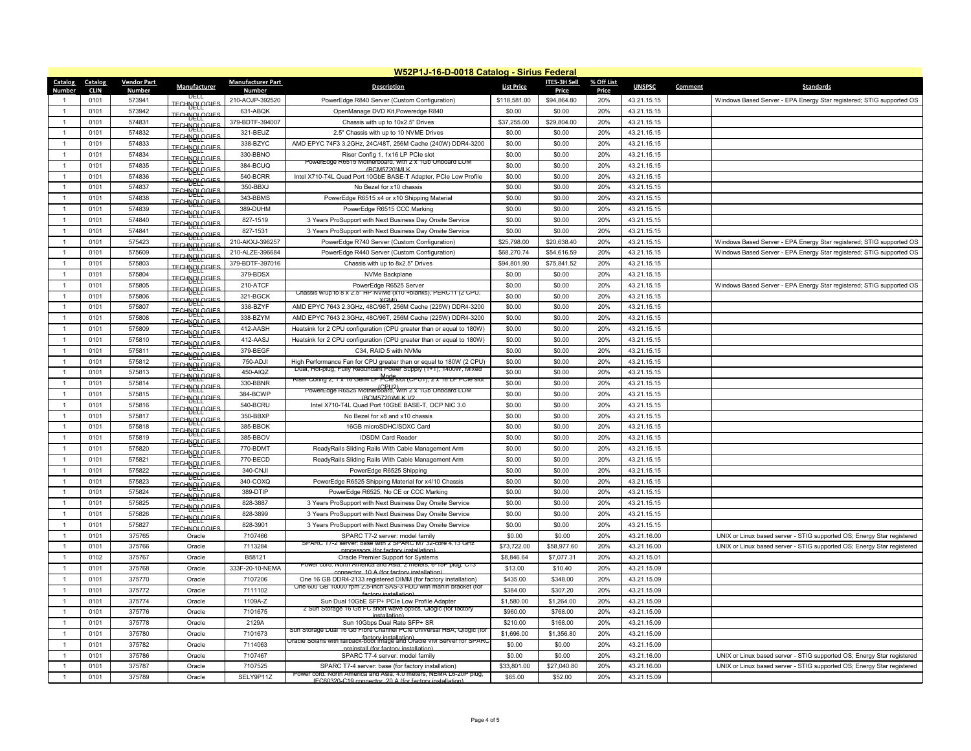|                                 | W52P1J-16-D-0018 Catalog - Sirius Federal |                                     |                                            |                                           |                                                                                                                                    |                   |                                     |                            |               |                                                                        |  |  |
|---------------------------------|-------------------------------------------|-------------------------------------|--------------------------------------------|-------------------------------------------|------------------------------------------------------------------------------------------------------------------------------------|-------------------|-------------------------------------|----------------------------|---------------|------------------------------------------------------------------------|--|--|
| <b>Catalog</b><br><u>Number</u> | <b>Catalog</b><br><b>CLIN</b>             | <b>Vendor Part</b><br><b>Number</b> | Manufacturer                               | <b>Manufacturer Part</b><br><b>Number</b> | <b>Description</b>                                                                                                                 | <b>List Price</b> | <b>ITES-3H Sell</b><br><b>Price</b> | % Off List<br><b>Price</b> | <b>UNSPSC</b> | <b>Standards</b><br><b>Comment</b>                                     |  |  |
|                                 | 0101                                      | 573941                              | DELL<br><b>TECHNOLOGIES</b>                | 210-AOJP-392520                           | PowerEdge R840 Server (Custom Configuration)                                                                                       | \$118,581.00      | \$94,864.80                         | 20%                        | 43.21.15.15   | Windows Based Server - EPA Energy Star registered; STIG supported OS   |  |  |
|                                 | 0101                                      | 573942                              | DELL<br><b>TECHNOLOGIES</b>                | 631-ABQK                                  | OpenManage DVD Kit, Poweredge R840                                                                                                 | \$0.00            | \$0.00                              | 20%                        | 43.21.15.15   |                                                                        |  |  |
|                                 | 0101                                      | 574831                              | DELL<br><b>TECHNOLOGIES</b>                | 379-BDTF-394007                           | Chassis with up to 10x2.5" Drives                                                                                                  | \$37,255.00       | \$29,804.00                         | 20%                        | 43.21.15.15   |                                                                        |  |  |
|                                 | 0101                                      | 574832                              | <b>DELL</b><br><b>TECHNOLOGIES</b>         | 321-BEUZ                                  | 2.5" Chassis with up to 10 NVME Drives                                                                                             | \$0.00            | \$0.00                              | 20%                        | 43.21.15.15   |                                                                        |  |  |
|                                 | 0101                                      | 574833                              | <b>TECHNOLOGIES</b>                        | 338-BZYC                                  | AMD EPYC 74F3 3.2GHz, 24C/48T, 256M Cache (240W) DDR4-3200                                                                         | \$0.00            | \$0.00                              | 20%                        | 43.21.15.15   |                                                                        |  |  |
|                                 | 0101                                      | 574834                              | DELL<br><b>TECHNOLOGIES</b>                | 330-BBNO                                  | Riser Config 1, 1x16 LP PCIe slot                                                                                                  | \$0.00            | \$0.00                              | 20%                        | 43.21.15.15   |                                                                        |  |  |
|                                 | 0101                                      | 574835                              | DELL<br><b>IECHAOLOGIES</b>                | 384-BCUQ                                  | PowerEdge R6515 Motherboard, with 2 x 1Gb Onboard LOM<br>(BCM5720)MLK                                                              | \$0.00            | \$0.00                              | 20%                        | 43.21.15.15   |                                                                        |  |  |
|                                 | 0101                                      | 574836                              | <b>TECHNOLOGIES</b>                        | 540-BCRR                                  | Intel X710-T4L Quad Port 10GbE BASE-T Adapter, PCIe Low Profile                                                                    | \$0.00            | \$0.00                              | 20%                        | 43.21.15.15   |                                                                        |  |  |
|                                 | 0101                                      | 574837                              | DELL<br><b>IECHAOLOGIES</b>                | 350-BBXJ                                  | No Bezel for x10 chassis                                                                                                           | \$0.00            | \$0.00                              | 20%                        | 43.21.15.15   |                                                                        |  |  |
|                                 | 0101                                      | 574838                              | <b>TECHNOLOGIES</b>                        | 343-BBMS                                  | PowerEdge R6515 x4 or x10 Shipping Material                                                                                        | \$0.00            | \$0.00                              | 20%                        | 43.21.15.15   |                                                                        |  |  |
|                                 | 0101                                      | 574839                              | DELL<br><b>TECHNOLOGIES</b>                | 389-DUHM                                  | PowerEdge R6515 CCC Marking                                                                                                        | \$0.00            | \$0.00                              | 20%                        | 43.21.15.15   |                                                                        |  |  |
|                                 | 0101                                      | 574840                              | TJETT<br><b>IECHAOLOGIES</b>               | 827-1519                                  | 3 Years ProSupport with Next Business Day Onsite Service                                                                           | \$0.00            | \$0.00                              | 20%                        | 43.21.15.15   |                                                                        |  |  |
|                                 | 0101                                      | 574841                              | <b>IECHAOLOGIES</b>                        | 827-1531                                  | 3 Years ProSupport with Next Business Day Onsite Service                                                                           | \$0.00            | \$0.00                              | 20%                        | 43.21.15.15   |                                                                        |  |  |
|                                 | 0101                                      | 575423                              | <b>IECHNOLOGIES</b>                        | 210-AKXJ-396257                           | PowerEdge R740 Server (Custom Configuration)                                                                                       | \$25,798.00       | \$20,638.40                         | 20%                        | 43.21.15.15   | Windows Based Server - EPA Energy Star registered; STIG supported OS   |  |  |
|                                 | 0101                                      | 575609                              | <b>TECHNOLOGIES</b>                        | 210-ALZE-396684                           | PowerEdge R440 Server (Custom Configuration)                                                                                       | \$68,270.74       | \$54,616.59                         | 20%                        | 43.21.15.15   | Windows Based Server - EPA Energy Star registered; STIG supported OS   |  |  |
|                                 | 0101                                      | 575803                              | DELL<br><b>TECHNOLOGIES</b>                | 379-BDTF-397016                           | Chassis with up to 8x2.5" Drives                                                                                                   | \$94,801.90       | \$75,841.52                         | 20%                        | 43.21.15.15   |                                                                        |  |  |
|                                 | 0101                                      | 575804                              | <b>DELL</b><br><b>TECHNOLOGIES</b>         | 379-BDSX                                  | NVMe Backplane                                                                                                                     | \$0.00            | \$0.00                              | 20%                        | 43.21.15.15   |                                                                        |  |  |
|                                 | 0101                                      | 575805                              | DELL                                       | 210-ATCF                                  | PowerEdge R6525 Server                                                                                                             | \$0.00            | \$0.00                              | 20%                        | 43.21.15.15   | Windows Based Server - EPA Energy Star registered; STIG supported OS   |  |  |
|                                 | 0101                                      | 575806                              | <b>IECHABFGGIES</b><br><b>TECHNOLOGIES</b> | 321-BGCK                                  | Chassis w/up to 8 x 2.5" HP NVMe (x10 + blanks), PERC11 (2 CPU,<br><b>XGMI)</b>                                                    | \$0.00            | \$0.00                              | 20%                        | 43.21.15.15   |                                                                        |  |  |
|                                 | 0101                                      | 575807                              | DELL<br><b>TECHNOLOGIES</b>                | 338-BZYF                                  | AMD EPYC 7643 2.3GHz, 48C/96T, 256M Cache (225W) DDR4-3200                                                                         | \$0.00            | \$0.00                              | 20%                        | 43.21.15.15   |                                                                        |  |  |
|                                 | 0101                                      | 575808                              | <u>DELL</u><br><b>TECHNOLOGIES</b>         | 338-BZYM                                  | AMD EPYC 7643 2.3GHz, 48C/96T, 256M Cache (225W) DDR4-3200                                                                         | \$0.00            | \$0.00                              | 20%                        | 43.21.15.15   |                                                                        |  |  |
|                                 | 0101                                      | 575809                              | DELL                                       | 412-AASH                                  | Heatsink for 2 CPU configuration (CPU greater than or equal to 180W)                                                               | \$0.00            | \$0.00                              | 20%                        | 43.21.15.15   |                                                                        |  |  |
|                                 | 0101                                      | 575810                              | <b>IECHABFGGIES</b>                        | 412-AASJ                                  | Heatsink for 2 CPU configuration (CPU greater than or equal to 180W)                                                               | \$0.00            | \$0.00                              | 20%                        | 43.21.15.15   |                                                                        |  |  |
|                                 | 0101                                      | 575811                              | <b>IECHAOLOGIES</b>                        | 379-BEGF                                  | C34, RAID 5 with NVMe                                                                                                              | \$0.00            | \$0.00                              | 20%                        | 43.21.15.15   |                                                                        |  |  |
|                                 | 0101                                      | 575812                              | <b>TECHNOLOGIES</b><br>DELL                | 750-ADJI                                  | High Performance Fan for CPU greater than or equal to 180W (2 CPU)                                                                 | \$0.00            | \$0.00                              | 20%                        | 43.21.15.15   |                                                                        |  |  |
|                                 | 0101                                      | 575813                              | <b>TECHNOLOGIES</b><br>DELL                | 450-AIQZ                                  | Dual, Hot-plug, Fully Redundant Power Supply (1+1), 1400W, Mixed                                                                   | \$0.00            | \$0.00                              | 20%                        | 43.21.15.15   |                                                                        |  |  |
|                                 | 0101                                      | 575814                              | <b>TECHNOLOGIES</b><br>DELL                | 330-BBNR                                  | Riser Contig 2, 1 x 16 Gen4 LP PCIe slot (CPU1), 2 x 16 LP PCIe slot                                                               | \$0.00            | \$0.00                              | 20%                        | 43.21.15.15   |                                                                        |  |  |
|                                 | 0101                                      | 575815                              | <b>TECHNOLOGIES</b><br>DELL                | 384-BCWP                                  | (CPU2)<br>PowerEdge R6525 Motherboard, with 2 x 1Gb Onboard LOM                                                                    | \$0.00            | \$0.00                              | 20%                        | 43.21.15.15   |                                                                        |  |  |
|                                 | 0101                                      | 575816                              | <b>TECHNOLOGIES</b><br>DELL                | <b>540-BCRU</b>                           | (BCM5720)MLK V2<br>Intel X710-T4L Quad Port 10GbE BASE-T, OCP NIC 3.0                                                              | \$0.00            | \$0.00                              | 20%                        | 43.21.15.15   |                                                                        |  |  |
|                                 | 0101                                      | 575817                              | <b>TECHNOLOGIES</b><br>DELL                | 350-BBXP                                  | No Bezel for x8 and x10 chassis                                                                                                    | \$0.00            | \$0.00                              | 20%                        | 43.21.15.15   |                                                                        |  |  |
|                                 | 0101                                      | 575818                              | <b>TECHNOLOGIES</b>                        | 385-BBOK                                  | 16GB microSDHC/SDXC Card                                                                                                           | \$0.00            | \$0.00                              | 20%                        | 43.21.15.15   |                                                                        |  |  |
|                                 | 0101                                      | 575819                              | <b>IECHAOLOGIES</b>                        | 385-BBOV                                  | <b>IDSDM Card Reader</b>                                                                                                           | \$0.00            | \$0.00                              | 20%                        | 43.21.15.15   |                                                                        |  |  |
|                                 | 0101                                      | 575820                              | <b>IECHAOLOGIES</b>                        | 770-BDMT                                  | ReadyRails Sliding Rails With Cable Management Arm                                                                                 | \$0.00            | \$0.00                              | 20%                        | 43.21.15.15   |                                                                        |  |  |
|                                 | 0101                                      | 575821                              | <b>TECHNOLOGIES</b><br>DELL                | 770-BECD                                  | ReadyRails Sliding Rails With Cable Management Arm                                                                                 | \$0.00            | \$0.00                              | 20%                        | 43.21.15.15   |                                                                        |  |  |
|                                 | 0101                                      | 575822                              | <b>TECHNOLOGIES</b><br>DELL                | 340-CNJI                                  | PowerEdge R6525 Shipping                                                                                                           | \$0.00            | \$0.00                              | 20%                        | 43.21.15.15   |                                                                        |  |  |
|                                 | 0101                                      | 575823                              | <b>TECHNOLOGIES</b><br>DELL                | 340-COXQ                                  | PowerEdge R6525 Shipping Material for x4/10 Chassis                                                                                | \$0.00            | \$0.00                              | 20%                        | 43.21.15.15   |                                                                        |  |  |
|                                 | 0101                                      | 575824                              | <b>TECHNOLOGIES</b><br><u>DELL</u>         | 389-DTIP                                  | PowerEdge R6525, No CE or CCC Marking                                                                                              | \$0.00            | \$0.00                              | 20%                        | 43.21.15.15   |                                                                        |  |  |
|                                 | 0101                                      | 575825                              | <b>TECHNOLOGIES</b>                        | 828-3887                                  | 3 Years ProSupport with Next Business Day Onsite Service                                                                           | \$0.00            | \$0.00                              | 20%                        | 43.21.15.15   |                                                                        |  |  |
|                                 | 0101                                      | 575826                              | <b>TECHNOLOGIES</b><br>DELL                | 828-3899                                  | 3 Years ProSupport with Next Business Day Onsite Service                                                                           | \$0.00            | \$0.00                              | 20%                        | 43.21.15.15   |                                                                        |  |  |
|                                 |                                           |                                     | <b>IECHAOLOGIES</b>                        |                                           |                                                                                                                                    |                   |                                     | 20%                        |               |                                                                        |  |  |
|                                 | 0101                                      | 575827                              | <b>TECHNOLOGIES</b>                        | 828-3901                                  | 3 Years ProSupport with Next Business Day Onsite Service                                                                           | \$0.00            | \$0.00                              |                            | 43.21.15.15   |                                                                        |  |  |
|                                 | 0101                                      | 375765                              | Oracle                                     | 7107466                                   | SPARC T7-2 server: model family<br>SPARC 17-2 server: base with 2 SPARC M7 32-core 4.13 GHz                                        | \$0.00            | \$0.00                              | 20%                        | 43.21.16.00   | UNIX or Linux based server - STIG supported OS; Energy Star registered |  |  |
|                                 | 0101                                      | 375766                              | Oracle                                     | 7113284                                   | processors (for factory installation)                                                                                              | \$73,722.00       | \$58,977.60                         | 20%                        | 43.21.16.00   | UNIX or Linux based server - STIG supported OS; Energy Star registered |  |  |
|                                 | 0102                                      | 375767                              | Oracle                                     | B58121                                    | Oracle Premier Support for Systems<br>Power cord: North America and Asia, 2 meters, 6-15P plug, C13                                | \$8,846.64        | \$7,077.31                          | 20%                        | 43.21.15.01   |                                                                        |  |  |
|                                 | 0101                                      | 375768                              | Oracle                                     | 333F-20-10-NEMA                           | connector 10 A (for factory installation)                                                                                          | \$13.00           | \$10.40                             | 20%                        | 43.21.15.09   |                                                                        |  |  |
|                                 | 0101                                      | 375770                              | Oracle                                     | 7107206                                   | One 16 GB DDR4-2133 registered DIMM (for factory installation)<br>One 600 GB 10000 rpm 2.5-inch SAS-3 HDD with marlin bracket (for | \$435.00          | \$348.00                            | 20%                        | 43.21.15.09   |                                                                        |  |  |
|                                 | 0101                                      | 375772                              | Oracle                                     | 7111102                                   | factory installation)                                                                                                              | \$384.00          | \$307.20                            | 20%                        | 43.21.15.09   |                                                                        |  |  |
|                                 | 0101                                      | 375774                              | Oracle                                     | 1109A-Z                                   | Sun Dual 10GbE SFP+ PCIe Low Profile Adapter<br>2 Sun Storage 16 Gb FC short wave optics, Qlogic (for factory                      | \$1,580.00        | \$1,264.00                          | 20%                        | 43.21.15.09   |                                                                        |  |  |
|                                 | 0101                                      | 375776                              | Oracle                                     | 7101675                                   | installation)                                                                                                                      | \$960.00          | \$768.00                            | 20%                        | 43.21.15.09   |                                                                        |  |  |
|                                 | 0101                                      | 375778                              | Oracle                                     | 2129A                                     | Sun 10Gbps Dual Rate SFP+ SR<br>Sun Storage Dual 16 Gb Fibre Channel PCIe Universal HBA, Qlogic (for                               | \$210.00          | \$168.00                            | 20%                        | 43.21.15.09   |                                                                        |  |  |
|                                 | 0101                                      | 375780                              | Oracle                                     | 7101673                                   | <br>  Cracle Solaris with fallback-boot image and Oracle VM Server for SPARC                                                       | \$1,696.00        | \$1,356.80                          | 20%                        | 43.21.15.09   |                                                                        |  |  |
|                                 | 0101                                      | 375782                              | Oracle                                     | 7114063                                   | preinstall (for factory installation)                                                                                              | \$0.00            | \$0.00                              | 20%                        | 43.21.15.09   |                                                                        |  |  |
|                                 | 0101                                      | 375786                              | Oracle                                     | 7107467                                   | SPARC T7-4 server: model family                                                                                                    | \$0.00            | \$0.00                              | 20%                        | 43.21.16.00   | UNIX or Linux based server - STIG supported OS; Energy Star registered |  |  |
|                                 | 0101                                      | 375787                              | Oracle                                     | 7107525                                   | SPARC T7-4 server: base (for factory installation)<br>Power cord: North America and Asia, 4.0 meters, NEMA L6-20P plug,            | \$33,801.00       | \$27,040.80                         | 20%                        | 43.21.16.00   | UNIX or Linux based server - STIG supported OS; Energy Star registered |  |  |
|                                 | 0101                                      | 375789                              | Oracle                                     | SELY9P11Z                                 | IEC60320-C19 connector 20 A (for factory installation)                                                                             | \$65.00           | \$52.00                             | 20%                        | 43.21.15.09   |                                                                        |  |  |